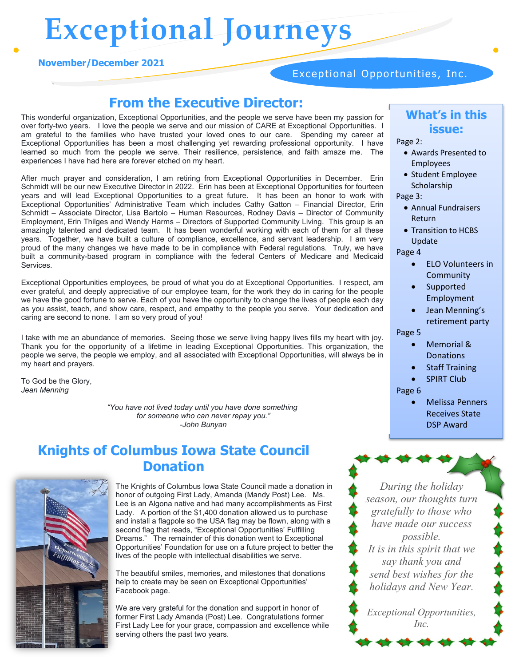# **Exceptional Journeys**

#### **November/December 2021**

### Exceptional Opportunities, Inc.

### **From the Executive Director:**

This wonderful organization, Exceptional Opportunities, and the people we serve have been my passion for over forty-two years. I love the people we serve and our mission of CARE at Exceptional Opportunities. I am grateful to the families who have trusted your loved ones to our care. Spending my career at Exceptional Opportunities has been a most challenging yet rewarding professional opportunity. I have learned so much from the people we serve. Their resilience, persistence, and faith amaze me. The experiences I have had here are forever etched on my heart.

After much prayer and consideration, I am retiring from Exceptional Opportunities in December. Erin Schmidt will be our new Executive Director in 2022. Erin has been at Exceptional Opportunities for fourteen years and will lead Exceptional Opportunities to a great future. It has been an honor to work with Exceptional Opportunities' Administrative Team which includes Cathy Gatton – Financial Director, Erin Schmidt – Associate Director, Lisa Bartolo – Human Resources, Rodney Davis – Director of Community Employment, Erin Thilges and Wendy Harms – Directors of Supported Community Living. This group is an amazingly talented and dedicated team. It has been wonderful working with each of them for all these years. Together, we have built a culture of compliance, excellence, and servant leadership. I am very proud of the many changes we have made to be in compliance with Federal regulations. Truly, we have built a community-based program in compliance with the federal Centers of Medicare and Medicaid Services.

Exceptional Opportunities employees, be proud of what you do at Exceptional Opportunities. I respect, am ever grateful, and deeply appreciative of our employee team, for the work they do in caring for the people we have the good fortune to serve. Each of you have the opportunity to change the lives of people each day as you assist, teach, and show care, respect, and empathy to the people you serve. Your dedication and caring are second to none. I am so very proud of you!

I take with me an abundance of memories. Seeing those we serve living happy lives fills my heart with joy. Thank you for the opportunity of a lifetime in leading Exceptional Opportunities. This organization, the people we serve, the people we employ, and all associated with Exceptional Opportunities, will always be in my heart and prayers.

To God be the Glory, *Jean Menning*

> *"You have not lived today until you have done something for someone who can never repay you." -John Bunyan*

### **Knights of Columbus Iowa State Council Donation**



The Knights of Columbus Iowa State Council made a donation in honor of outgoing First Lady, Amanda (Mandy Post) Lee. Ms. Lee is an Algona native and had many accomplishments as First Lady. A portion of the \$1,400 donation allowed us to purchase and install a flagpole so the USA flag may be flown, along with a second flag that reads, "Exceptional Opportunities' Fulfilling Dreams." The remainder of this donation went to Exceptional Opportunities' Foundation for use on a future project to better the lives of the people with intellectual disabilities we serve.

The beautiful smiles, memories, and milestones that donations help to create may be seen on Exceptional Opportunities' Facebook page.

We are very grateful for the donation and support in honor of former First Lady Amanda (Post) Lee. Congratulations former First Lady Lee for your grace, compassion and excellence while serving others the past two years.

### **What's in this issue:**

Page 2:

- Awards Presented to Employees
- Student Employee Scholarship

Page 3:

- Annual Fundraisers Return
- Transition to HCBS Update

Page 4

- ELO Volunteers in **Community**
- **Supported** Employment
- Jean Menning's retirement party

#### Page 5

- Memorial & Donations
- **Staff Training**
- **SPIRT Club**
- Page 6
	- Melissa Penners Receives State DSP Award

*During the holiday season, our thoughts turn gratefully to those who have made our success possible. It is in this spirit that we say thank you and send best wishes for the holidays and New Year.*

*Exceptional Opportunities, Inc.*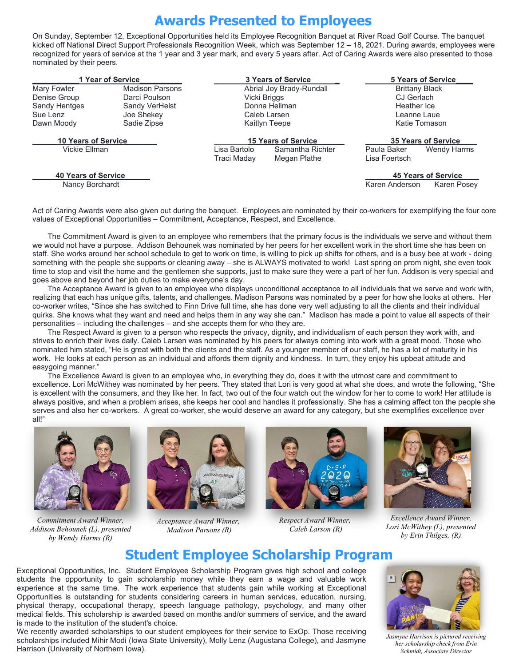## **Awards Presented to Employees**

On Sunday, September 12, Exceptional Opportunities held its Employee Recognition Banquet at River Road Golf Course. The banquet kicked off National Direct Support Professionals Recognition Week, which was September 12 – 18, 2021. During awards, employees were recognized for years of service at the 1 year and 3 year mark, and every 5 years after. Act of Caring Awards were also presented to those nominated by their peers.

| 1 Year of Service          |                        | 3 Years of Service         |                  | 5 Years of Service         |                            |  |
|----------------------------|------------------------|----------------------------|------------------|----------------------------|----------------------------|--|
| Mary Fowler                | <b>Madison Parsons</b> | Abrial Joy Brady-Rundall   |                  | <b>Brittany Black</b>      |                            |  |
| Denise Group               | Darci Poulson          | Vicki Briggs               |                  | CJ Gerlach                 |                            |  |
| Sandy Hentges              | Sandy VerHelst         | Donna Hellman              |                  | Heather Ice                |                            |  |
| Sue Lenz                   | Joe Shekey             | Caleb Larsen               |                  | Leanne Laue                |                            |  |
| Dawn Moody                 | Sadie Zipse            | Kaitlyn Teepe              |                  | Katie Tomason              |                            |  |
| <b>10 Years of Service</b> |                        | <b>15 Years of Service</b> |                  | <b>35 Years of Service</b> |                            |  |
| Vickie Ellman              |                        | Lisa Bartolo               | Samantha Richter | Paula Baker                | Wendy Harms                |  |
|                            |                        | Traci Maday                | Megan Plathe     | Lisa Foertsch              |                            |  |
| <b>40 Years of Service</b> |                        |                            |                  |                            | <b>45 Years of Service</b> |  |
| Nancy Borchardt            |                        |                            |                  | Karen Anderson             | Karen Posev                |  |

Act of Caring Awards were also given out during the banquet. Employees are nominated by their co-workers for exemplifying the four core values of Exceptional Opportunities – Commitment, Acceptance, Respect, and Excellence.

The Commitment Award is given to an employee who remembers that the primary focus is the individuals we serve and without them we would not have a purpose. Addison Behounek was nominated by her peers for her excellent work in the short time she has been on staff. She works around her school schedule to get to work on time, is willing to pick up shifts for others, and is a busy bee at work - doing something with the people she supports or cleaning away – she is ALWAYS motivated to work! Last spring on prom night, she even took time to stop and visit the home and the gentlemen she supports, just to make sure they were a part of her fun. Addison is very special and goes above and beyond her job duties to make everyone's day.

The Acceptance Award is given to an employee who displays unconditional acceptance to all individuals that we serve and work with, realizing that each has unique gifts, talents, and challenges. Madison Parsons was nominated by a peer for how she looks at others. Her co-worker writes, "Since she has switched to Finn Drive full time, she has done very well adjusting to all the clients and their individual quirks. She knows what they want and need and helps them in any way she can." Madison has made a point to value all aspects of their personalities – including the challenges – and she accepts them for who they are.

The Respect Award is given to a person who respects the privacy, dignity, and individualism of each person they work with, and strives to enrich their lives daily. Caleb Larsen was nominated by his peers for always coming into work with a great mood. Those who nominated him stated, "He is great with both the clients and the staff. As a younger member of our staff, he has a lot of maturity in his work. He looks at each person as an individual and affords them dignity and kindness. In turn, they enjoy his upbeat attitude and easygoing manner."

The Excellence Award is given to an employee who, in everything they do, does it with the utmost care and commitment to excellence. Lori McWithey was nominated by her peers. They stated that Lori is very good at what she does, and wrote the following, "She is excellent with the consumers, and they like her. In fact, two out of the four watch out the window for her to come to work! Her attitude is always positive, and when a problem arises, she keeps her cool and handles it professionally. She has a calming affect ton the people she serves and also her co-workers. A great co-worker, she would deserve an award for any category, but she exemplifies excellence over all!"



*Commitment Award Winner, Addison Behounek (L), presented by Wendy Harms (R)*



*Acceptance Award Winner, Madison Parsons (R)*



*Respect Award Winner, Caleb Larson (R)*



*Excellence Award Winner, Lori McWithey (L), presented by Erin Thilges, (R)*

### **Student Employee Scholarship Program**

 physical therapy, occupational therapy, speech language pathology, psychology, and many other Exceptional Opportunities, Inc. Student Employee Scholarship Program gives high school and college students the opportunity to gain scholarship money while they earn a wage and valuable work experience at the same time. The work experience that students gain while working at Exceptional Opportunities is outstanding for students considering careers in human services, education, nursing, medical fields. This scholarship is awarded based on months and/or summers of service, and the award is made to the institution of the student's choice.

We recently awarded scholarships to our student employees for their service to ExOp. Those receiving scholarships included Mihir Modi (Iowa State University), Molly Lenz (Augustana College), and Jasmyne Harrison (University of Northern Iowa).



*Jasmyne Harrison is pictured receiving her scholarship check from Erin Schmidt, Associate Director*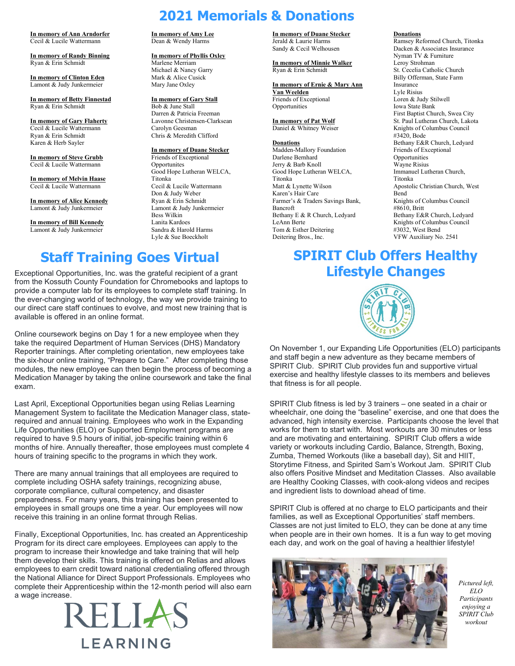**In memory of Ann Arndorfer** Cecil & Lucile Wattermann

**In memory of Randy Binning** Ryan & Erin Schmidt

**In memory of Clinton Eden** Lamont & Judy Junkermeier

**In memory of Betty Finnestad** Ryan & Erin Schmidt

**In memory of Gary Flaherty** Cecil & Lucile Wattermann Ryan & Erin Schmidt Karen & Herb Sayler

**In memory of Steve Grubb** Cecil & Lucile Wattermann

**In memory of Melvin Haase** Cecil & Lucile Wattermann

**In memory of Alice Kennedy** Lamont & Judy Junkermeier

**In memory of Bill Kennedy** Lamont & Judy Junkermeier

**In memory of Amy Lee** Dean & Wendy Harms

**In memory of Phyllis Oxley** Marlene Merriam Michael & Nancy Garry Mark & Alice Cusick Mary Jane Oxley

**In memory of Gary Stall** Bob & June Stall Darren & Patricia Freeman Lavonne Christensen-Clarksean Carolyn Geesman Chris & Meredith Clifford

**In memory of Duane Stecker** Friends of Exceptional **Opportunites** Good Hope Lutheran WELCA, Titonka Cecil & Lucile Wattermann Don & Judy Weber Ryan & Erin Schmidt Lamont & Judy Junkermeier Bess Wilkin Lanita Kardoes Sandra & Harold Harms Lyle & Sue Boeckholt

#### **In memory of Duane Stecker**

Jerald & Laurie Harms Sandy & Cecil Welhousen

**In memory of Minnie Walker** Ryan & Erin Schmidt

**In memory of Ernie & Mary Ann Van Weelden** Friends of Exceptional

**In memory of Pat Wolf** Daniel & Whitney Weiser

#### **Donations**

Opportunities

**2021 Memorials & Donations**

Madden-Mallory Foundation Darlene Bernhard Jerry & Barb Knoll Good Hope Lutheran WELCA, Titonka Matt & Lynette Wilson Karen's Hair Care Farmer's & Traders Savings Bank, Bancroft Bethany E & R Church, Ledyard LeAnn Berte Tom & Esther Deitering Deitering Bros., Inc.

#### **Donations**

Ramsey Reformed Church, Titonka Dacken & Associates Insurance Nyman TV & Furniture Leroy Strohman St. Cecelia Catholic Church Billy Offerman, State Farm Insurance Lyle Risius Loren & Judy Stilwell Iowa State Bank First Baptist Church, Swea City St. Paul Lutheran Church, Lakota Knights of Columbus Council #3420, Bode Bethany E&R Church, Ledyard Friends of Exceptional Opportunities Wayne Risius Immanuel Lutheran Church, Titonka Apostolic Christian Church, West Bend Knights of Columbus Council #8610, Britt Bethany E&R Church, Ledyard Knights of Columbus Council #3032, West Bend VFW Auxiliary No. 2541

Exceptional Opportunities, Inc. was the grateful recipient of a grant from the Kossuth County Foundation for Chromebooks and laptops to provide a computer lab for its employees to complete staff training. In the ever-changing world of technology, the way we provide training to our direct care staff continues to evolve, and most new training that is available is offered in an online format.

Online coursework begins on Day 1 for a new employee when they take the required Department of Human Services (DHS) Mandatory Reporter trainings. After completing orientation, new employees take the six-hour online training, "Prepare to Care." After completing those modules, the new employee can then begin the process of becoming a Medication Manager by taking the online coursework and take the final exam.

Last April, Exceptional Opportunities began using Relias Learning Management System to facilitate the Medication Manager class, staterequired and annual training. Employees who work in the Expanding Life Opportunities (ELO) or Supported Employment programs are required to have 9.5 hours of initial, job-specific training within 6 months of hire. Annually thereafter, those employees must complete 4 hours of training specific to the programs in which they work.

There are many annual trainings that all employees are required to complete including OSHA safety trainings, recognizing abuse, corporate compliance, cultural competency, and disaster preparedness. For many years, this training has been presented to employees in small groups one time a year. Our employees will now receive this training in an online format through Relias.

Finally, Exceptional Opportunities, Inc. has created an Apprenticeship Program for its direct care employees. Employees can apply to the program to increase their knowledge and take training that will help them develop their skills. This training is offered on Relias and allows employees to earn credit toward national credentialing offered through the National Alliance for Direct Support Professionals. Employees who complete their Apprenticeship within the 12-month period will also earn a wage increase.



### **Staff Training Goes Virtual SPIRIT Club Offers Healthy Lifestyle Changes**



On November 1, our Expanding Life Opportunities (ELO) participants and staff begin a new adventure as they became members of SPIRIT Club. SPIRIT Club provides fun and supportive virtual exercise and healthy lifestyle classes to its members and believes that fitness is for all people.

SPIRIT Club fitness is led by 3 trainers – one seated in a chair or wheelchair, one doing the "baseline" exercise, and one that does the advanced, high intensity exercise. Participants choose the level that works for them to start with. Most workouts are 30 minutes or less and are motivating and entertaining. SPIRIT Club offers a wide variety or workouts including Cardio, Balance, Strength, Boxing, Zumba, Themed Workouts (like a baseball day), Sit and HIIT, Storytime Fitness, and Spirited Sam's Workout Jam. SPIRIT Club also offers Positive Mindset and Meditation Classes. Also available are Healthy Cooking Classes, with cook-along videos and recipes and ingredient lists to download ahead of time.

SPIRIT Club is offered at no charge to ELO participants and their families, as well as Exceptional Opportunities' staff members. Classes are not just limited to ELO, they can be done at any time when people are in their own homes. It is a fun way to get moving each day, and work on the goal of having a healthier lifestyle!



*Pictured left, ELO Participants enjoying a SPIRIT Club workout*